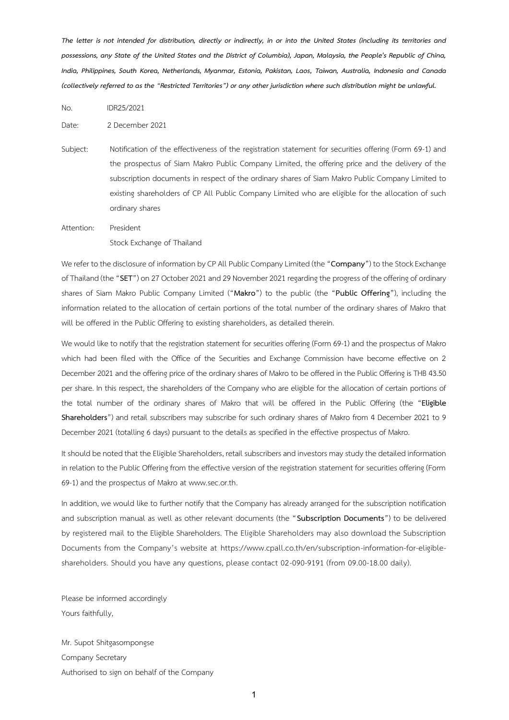*The letter is not intended for distribution, directly or indirectly, in or into the United States (including its territories and possessions, any State of the United States and the District of Columbia), Japan, Malaysia, the People's Republic of China, India, Philippines, South Korea, Netherlands, Myanmar, Estonia, Pakistan, Laos, Taiwan, Australia, Indonesia and Canada (collectively referred to as the "Restricted Territories") or any other jurisdiction where such distribution might be unlawful.*

No. IDR25/2021

Date: 2 December 2021

Subject: Notification of the effectiveness of the registration statement for securities offering (Form 69-1) and the prospectus of Siam Makro Public Company Limited, the offering price and the delivery of the subscription documents in respect of the ordinary shares of Siam Makro Public Company Limited to existing shareholders of CP All Public Company Limited who are eligible for the allocation of such ordinary shares

Attention: President Stock Exchange of Thailand

We refer to the disclosure of information by CP All Public Company Limited (the "**Company**") to the Stock Exchange of Thailand (the "SET") on 27 October 2021 and 29 November 2021 regarding the progress of the offering of ordinary shares of Siam Makro Public Company Limited ("**Makro**") to the public (the "**Public Offering**"), including the information related to the allocation of certain portions of the total number of the ordinary shares of Makro that will be offered in the Public Offering to existing shareholders, as detailed therein.

We would like to notify that the registration statement for securities offering (Form 69-1) and the prospectus of Makro which had been filed with the Office of the Securities and Exchange Commission have become effective on 2 December 2021 and the offering price of the ordinary shares of Makro to be offered in the Public Offering is THB 43.50 per share. In this respect, the shareholders of the Company who are eligible for the allocation of certain portions of the total number of the ordinary shares of Makro that will be offered in the Public Offering (the "**Eligible Shareholders**") and retail subscribers may subscribe for such ordinary shares of Makro from 4 December 2021 to 9 December 2021 (totalling 6 days) pursuant to the details as specified in the effective prospectus of Makro.

It should be noted that the Eligible Shareholders, retail subscribers and investors may study the detailed information in relation to the Public Offering from the effective version of the registration statement for securities offering (Form 69-1) and the prospectus of Makro at [www.sec.or.th.](http://www.sec.or.th/)

In addition, we would like to further notify that the Company has already arranged for the subscription notification and subscription manual as well as other relevant documents (the "**Subscription Documents**") to be delivered by registered mail to the Eligible Shareholders. The Eligible Shareholders may also download the Subscription Documents from the Company's website at https://www.cpall.co.th/en/subscription-information-for-eligibleshareholders. Should you have any questions, please contact 02-090-9191 (from 09.00-18.00 daily).

Please be informed accordingly Yours faithfully,

Mr. Supot Shitgasornpongse Company Secretary Authorised to sign on behalf of the Company